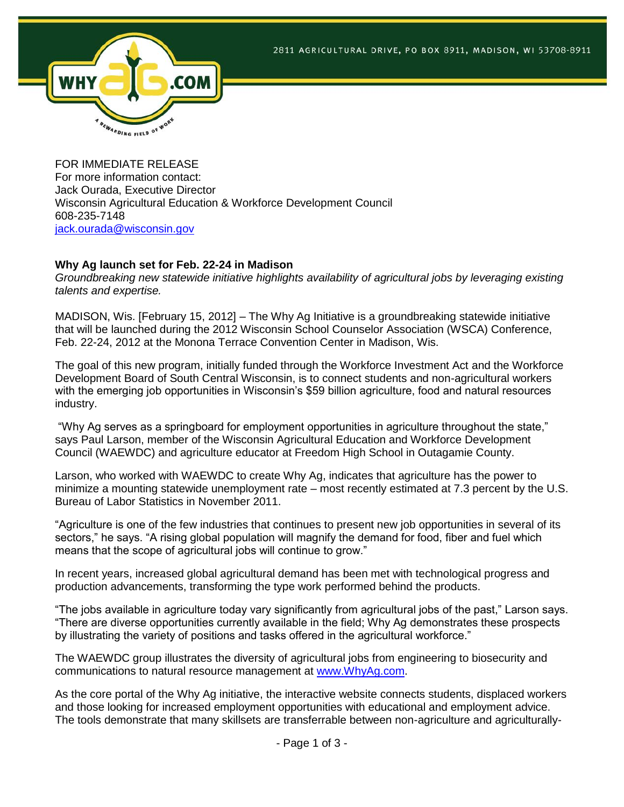

FOR IMMEDIATE RELEASE For more information contact: Jack Ourada, Executive Director Wisconsin Agricultural Education & Workforce Development Council 608-235-7148 [jack.ourada@wisconsin.gov](mailto:jack.ourada@wisconsin.gov)

## **Why Ag launch set for Feb. 22-24 in Madison**

*Groundbreaking new statewide initiative highlights availability of agricultural jobs by leveraging existing talents and expertise.*

MADISON, Wis. [February 15, 2012] – The Why Ag Initiative is a groundbreaking statewide initiative that will be launched during the 2012 Wisconsin School Counselor Association (WSCA) Conference, Feb. 22-24, 2012 at the Monona Terrace Convention Center in Madison, Wis.

The goal of this new program, initially funded through the Workforce Investment Act and the Workforce Development Board of South Central Wisconsin, is to connect students and non-agricultural workers with the emerging job opportunities in Wisconsin's \$59 billion agriculture, food and natural resources industry.

"Why Ag serves as a springboard for employment opportunities in agriculture throughout the state," says Paul Larson, member of the Wisconsin Agricultural Education and Workforce Development Council (WAEWDC) and agriculture educator at Freedom High School in Outagamie County.

Larson, who worked with WAEWDC to create Why Ag, indicates that agriculture has the power to minimize a mounting statewide unemployment rate – most recently estimated at 7.3 percent by the U.S. Bureau of Labor Statistics in November 2011.

"Agriculture is one of the few industries that continues to present new job opportunities in several of its sectors," he says. "A rising global population will magnify the demand for food, fiber and fuel which means that the scope of agricultural jobs will continue to grow."

In recent years, increased global agricultural demand has been met with technological progress and production advancements, transforming the type work performed behind the products.

"The jobs available in agriculture today vary significantly from agricultural jobs of the past," Larson says. "There are diverse opportunities currently available in the field; Why Ag demonstrates these prospects by illustrating the variety of positions and tasks offered in the agricultural workforce."

The WAEWDC group illustrates the diversity of agricultural jobs from engineering to biosecurity and communications to natural resource management at [www.WhyAg.com.](http://www.whyag.com/)

As the core portal of the Why Ag initiative, the interactive website connects students, displaced workers and those looking for increased employment opportunities with educational and employment advice. The tools demonstrate that many skillsets are transferrable between non-agriculture and agriculturally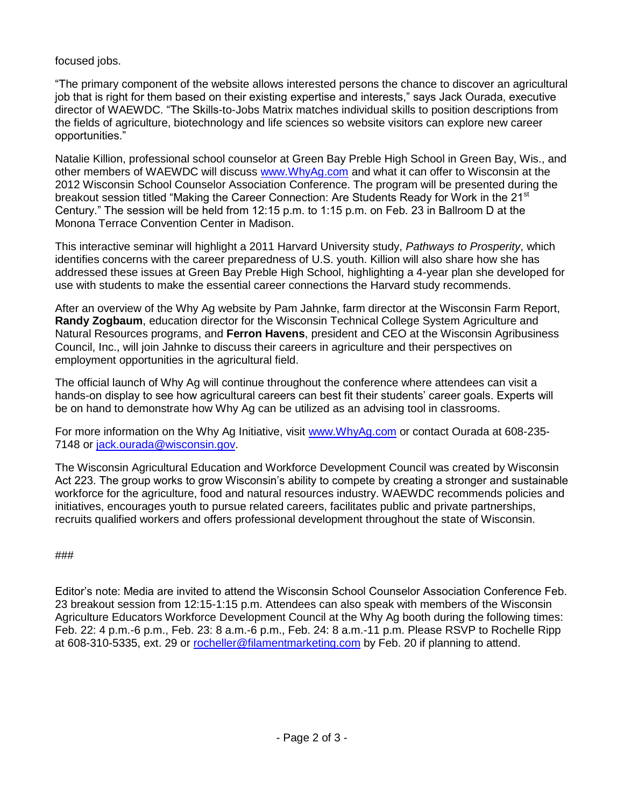focused jobs.

"The primary component of the website allows interested persons the chance to discover an agricultural job that is right for them based on their existing expertise and interests," says Jack Ourada, executive director of WAEWDC. "The Skills-to-Jobs Matrix matches individual skills to position descriptions from the fields of agriculture, biotechnology and life sciences so website visitors can explore new career opportunities."

Natalie Killion, professional school counselor at Green Bay Preble High School in Green Bay, Wis., and other members of WAEWDC will discuss [www.WhyAg.com](http://www.whyag.com/) and what it can offer to Wisconsin at the 2012 Wisconsin School Counselor Association Conference. The program will be presented during the breakout session titled "Making the Career Connection: Are Students Ready for Work in the 21<sup>st</sup> Century." The session will be held from 12:15 p.m. to 1:15 p.m. on Feb. 23 in Ballroom D at the Monona Terrace Convention Center in Madison.

This interactive seminar will highlight a 2011 Harvard University study, *Pathways to Prosperity*, which identifies concerns with the career preparedness of U.S. youth. Killion will also share how she has addressed these issues at Green Bay Preble High School, highlighting a 4-year plan she developed for use with students to make the essential career connections the Harvard study recommends.

After an overview of the Why Ag website by Pam Jahnke, farm director at the Wisconsin Farm Report, **Randy Zogbaum**, education director for the Wisconsin Technical College System Agriculture and Natural Resources programs, and **Ferron Havens**, president and CEO at the Wisconsin Agribusiness Council, Inc., will join Jahnke to discuss their careers in agriculture and their perspectives on employment opportunities in the agricultural field.

The official launch of Why Ag will continue throughout the conference where attendees can visit a hands-on display to see how agricultural careers can best fit their students' career goals. Experts will be on hand to demonstrate how Why Ag can be utilized as an advising tool in classrooms.

For more information on the Why Ag Initiative, visit [www.WhyAg.com](http://www.whyag.com/) or contact Ourada at 608-235-7148 or [jack.ourada@wisconsin.gov.](mailto:jack.ourada@wisconsin.gov)

The Wisconsin Agricultural Education and Workforce Development Council was created by Wisconsin Act 223. The group works to grow Wisconsin's ability to compete by creating a stronger and sustainable workforce for the agriculture, food and natural resources industry. WAEWDC recommends policies and initiatives, encourages youth to pursue related careers, facilitates public and private partnerships, recruits qualified workers and offers professional development throughout the state of Wisconsin.

###

Editor's note: Media are invited to attend the Wisconsin School Counselor Association Conference Feb. 23 breakout session from 12:15-1:15 p.m. Attendees can also speak with members of the Wisconsin Agriculture Educators Workforce Development Council at the Why Ag booth during the following times: Feb. 22: 4 p.m.-6 p.m., Feb. 23: 8 a.m.-6 p.m., Feb. 24: 8 a.m.-11 p.m. Please RSVP to Rochelle Ripp at 608-310-5335, ext. 29 or [rocheller@filamentmarketing.com](mailto:rocheller@filamentmarketing.com) by Feb. 20 if planning to attend.